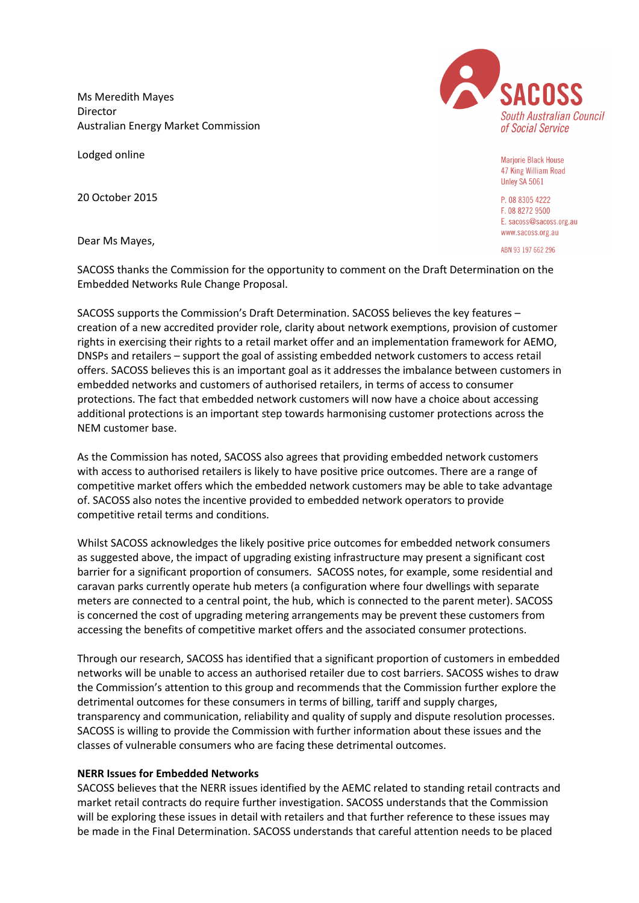Ms Meredith Mayes Director Australian Energy Market Commission

Lodged online

20 October 2015

Dear Ms Mayes,

SACOSS thanks the Commission for the opportunity to comment on the Draft Determination on the Embedded Networks Rule Change Proposal.

SACOSS supports the Commission's Draft Determination. SACOSS believes the key features – creation of a new accredited provider role, clarity about network exemptions, provision of customer rights in exercising their rights to a retail market offer and an implementation framework for AEMO, DNSPs and retailers – support the goal of assisting embedded network customers to access retail offers. SACOSS believes this is an important goal as it addresses the imbalance between customers in embedded networks and customers of authorised retailers, in terms of access to consumer protections. The fact that embedded network customers will now have a choice about accessing additional protections is an important step towards harmonising customer protections across the NEM customer base.

As the Commission has noted, SACOSS also agrees that providing embedded network customers with access to authorised retailers is likely to have positive price outcomes. There are a range of competitive market offers which the embedded network customers may be able to take advantage of. SACOSS also notes the incentive provided to embedded network operators to provide competitive retail terms and conditions.

Whilst SACOSS acknowledges the likely positive price outcomes for embedded network consumers as suggested above, the impact of upgrading existing infrastructure may present a significant cost barrier for a significant proportion of consumers. SACOSS notes, for example, some residential and caravan parks currently operate hub meters (a configuration where four dwellings with separate meters are connected to a central point, the hub, which is connected to the parent meter). SACOSS is concerned the cost of upgrading metering arrangements may be prevent these customers from accessing the benefits of competitive market offers and the associated consumer protections.

Through our research, SACOSS has identified that a significant proportion of customers in embedded networks will be unable to access an authorised retailer due to cost barriers. SACOSS wishes to draw the Commission's attention to this group and recommends that the Commission further explore the detrimental outcomes for these consumers in terms of billing, tariff and supply charges, transparency and communication, reliability and quality of supply and dispute resolution processes. SACOSS is willing to provide the Commission with further information about these issues and the classes of vulnerable consumers who are facing these detrimental outcomes.

## **NERR Issues for Embedded Networks**

SACOSS believes that the NERR issues identified by the AEMC related to standing retail contracts and market retail contracts do require further investigation. SACOSS understands that the Commission will be exploring these issues in detail with retailers and that further reference to these issues may be made in the Final Determination. SACOSS understands that careful attention needs to be placed



**Marjorie Black House** 47 King William Road Unley SA 5061

P. 08 8305 4222 F. 08 8272 9500 E. sacoss@sacoss.org.au www.sacoss.org.au

ABN 93 197 662 296